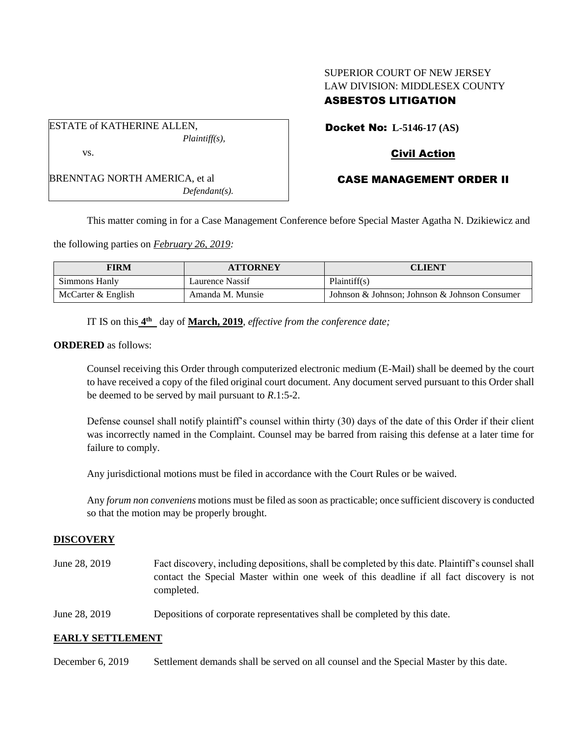# SUPERIOR COURT OF NEW JERSEY LAW DIVISION: MIDDLESEX COUNTY ASBESTOS LITIGATION

ESTATE of KATHERINE ALLEN, *Plaintiff(s),* vs.

BRENNTAG NORTH AMERICA, et al *Defendant(s).* Docket No: **L-5146-17 (AS)**

# Civil Action

# CASE MANAGEMENT ORDER II

This matter coming in for a Case Management Conference before Special Master Agatha N. Dzikiewicz and

the following parties on *February 26, 2019:*

| <b>FIRM</b>        | <b>ATTORNEY</b>  | CLIENT                                        |
|--------------------|------------------|-----------------------------------------------|
| Simmons Hanly      | Laurence Nassif  | Plaintiff(s)                                  |
| McCarter & English | Amanda M. Munsie | Johnson & Johnson; Johnson & Johnson Consumer |

IT IS on this  $4^{\text{th}}$  day of March, 2019, *effective from the conference date*;

**ORDERED** as follows:

Counsel receiving this Order through computerized electronic medium (E-Mail) shall be deemed by the court to have received a copy of the filed original court document. Any document served pursuant to this Order shall be deemed to be served by mail pursuant to *R*.1:5-2.

Defense counsel shall notify plaintiff's counsel within thirty (30) days of the date of this Order if their client was incorrectly named in the Complaint. Counsel may be barred from raising this defense at a later time for failure to comply.

Any jurisdictional motions must be filed in accordance with the Court Rules or be waived.

Any *forum non conveniens* motions must be filed as soon as practicable; once sufficient discovery is conducted so that the motion may be properly brought.

### **DISCOVERY**

- June 28, 2019 Fact discovery, including depositions, shall be completed by this date. Plaintiff's counsel shall contact the Special Master within one week of this deadline if all fact discovery is not completed.
- June 28, 2019 Depositions of corporate representatives shall be completed by this date.

### **EARLY SETTLEMENT**

December 6, 2019 Settlement demands shall be served on all counsel and the Special Master by this date.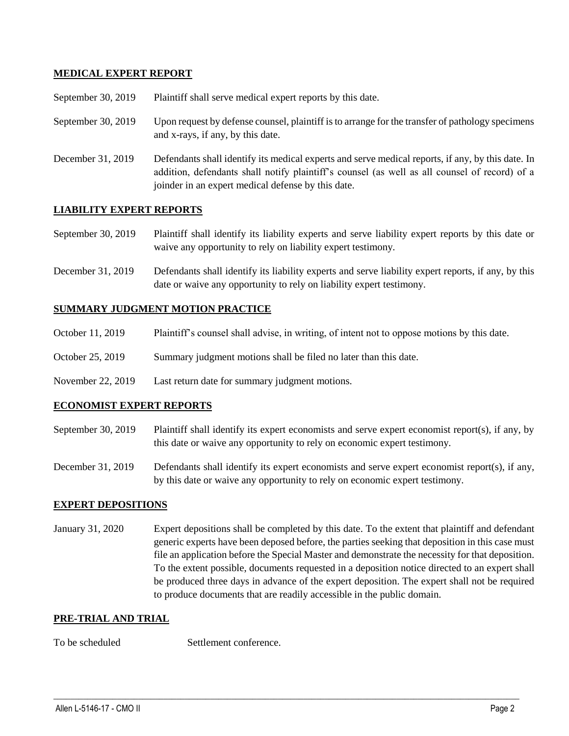## **MEDICAL EXPERT REPORT**

| September 30, 2019 | Plaintiff shall serve medical expert reports by this date. |  |
|--------------------|------------------------------------------------------------|--|
|--------------------|------------------------------------------------------------|--|

- September 30, 2019 Upon request by defense counsel, plaintiff is to arrange for the transfer of pathology specimens and x-rays, if any, by this date.
- December 31, 2019 Defendants shall identify its medical experts and serve medical reports, if any, by this date. In addition, defendants shall notify plaintiff's counsel (as well as all counsel of record) of a joinder in an expert medical defense by this date.

## **LIABILITY EXPERT REPORTS**

September 30, 2019 Plaintiff shall identify its liability experts and serve liability expert reports by this date or waive any opportunity to rely on liability expert testimony.

December 31, 2019 Defendants shall identify its liability experts and serve liability expert reports, if any, by this date or waive any opportunity to rely on liability expert testimony.

## **SUMMARY JUDGMENT MOTION PRACTICE**

- October 11, 2019 Plaintiff's counsel shall advise, in writing, of intent not to oppose motions by this date.
- October 25, 2019 Summary judgment motions shall be filed no later than this date.
- November 22, 2019 Last return date for summary judgment motions.

### **ECONOMIST EXPERT REPORTS**

- September 30, 2019 Plaintiff shall identify its expert economists and serve expert economist report(s), if any, by this date or waive any opportunity to rely on economic expert testimony.
- December 31, 2019 Defendants shall identify its expert economists and serve expert economist report(s), if any, by this date or waive any opportunity to rely on economic expert testimony.

### **EXPERT DEPOSITIONS**

January 31, 2020 Expert depositions shall be completed by this date. To the extent that plaintiff and defendant generic experts have been deposed before, the parties seeking that deposition in this case must file an application before the Special Master and demonstrate the necessity for that deposition. To the extent possible, documents requested in a deposition notice directed to an expert shall be produced three days in advance of the expert deposition. The expert shall not be required to produce documents that are readily accessible in the public domain.

 $\_$  ,  $\_$  ,  $\_$  ,  $\_$  ,  $\_$  ,  $\_$  ,  $\_$  ,  $\_$  ,  $\_$  ,  $\_$  ,  $\_$  ,  $\_$  ,  $\_$  ,  $\_$  ,  $\_$  ,  $\_$  ,  $\_$  ,  $\_$  ,  $\_$  ,  $\_$  ,  $\_$  ,  $\_$  ,  $\_$  ,  $\_$  ,  $\_$  ,  $\_$  ,  $\_$  ,  $\_$  ,  $\_$  ,  $\_$  ,  $\_$  ,  $\_$  ,  $\_$  ,  $\_$  ,  $\_$  ,  $\_$  ,  $\_$  ,

### **PRE-TRIAL AND TRIAL**

To be scheduled Settlement conference.